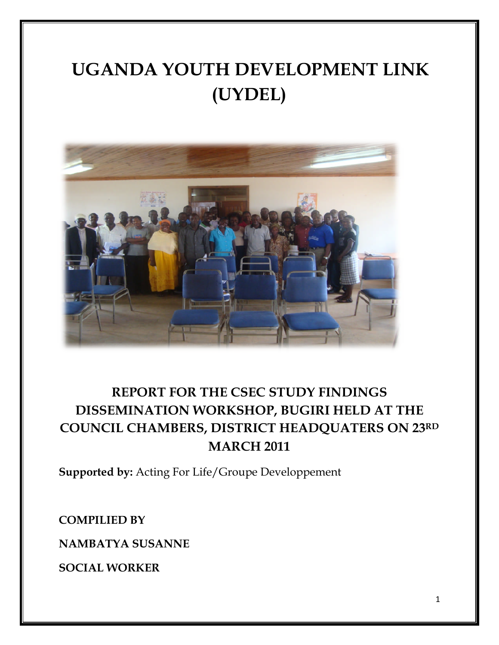# **UGANDA YOUTH DEVELOPMENT LINK (UYDEL)**



# **REPORT FOR THE CSEC STUDY FINDINGS DISSEMINATION WORKSHOP, BUGIRI HELD AT THE COUNCIL CHAMBERS, DISTRICT HEADQUATERS ON 23RD MARCH 2011**

**Supported by:** Acting For Life/Groupe Developpement

**COMPILIED BY**

**NAMBATYA SUSANNE**

**SOCIAL WORKER**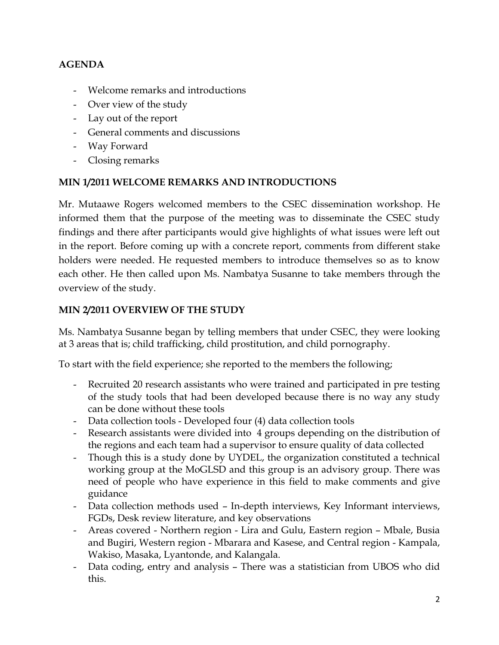# **AGENDA**

- Welcome remarks and introductions
- Over view of the study
- Lay out of the report
- General comments and discussions
- Way Forward
- Closing remarks

#### **MIN 1/2011 WELCOME REMARKS AND INTRODUCTIONS**

Mr. Mutaawe Rogers welcomed members to the CSEC dissemination workshop. He informed them that the purpose of the meeting was to disseminate the CSEC study findings and there after participants would give highlights of what issues were left out in the report. Before coming up with a concrete report, comments from different stake holders were needed. He requested members to introduce themselves so as to know each other. He then called upon Ms. Nambatya Susanne to take members through the overview of the study.

#### **MIN 2/2011 OVERVIEW OF THE STUDY**

Ms. Nambatya Susanne began by telling members that under CSEC, they were looking at 3 areas that is; child trafficking, child prostitution, and child pornography.

To start with the field experience; she reported to the members the following;

- Recruited 20 research assistants who were trained and participated in pre testing of the study tools that had been developed because there is no way any study can be done without these tools
- Data collection tools Developed four (4) data collection tools
- Research assistants were divided into 4 groups depending on the distribution of the regions and each team had a supervisor to ensure quality of data collected
- Though this is a study done by UYDEL, the organization constituted a technical working group at the MoGLSD and this group is an advisory group. There was need of people who have experience in this field to make comments and give guidance
- Data collection methods used In-depth interviews, Key Informant interviews, FGDs, Desk review literature, and key observations
- Areas covered Northern region Lira and Gulu, Eastern region Mbale, Busia and Bugiri, Western region - Mbarara and Kasese, and Central region - Kampala, Wakiso, Masaka, Lyantonde, and Kalangala.
- Data coding, entry and analysis There was a statistician from UBOS who did this.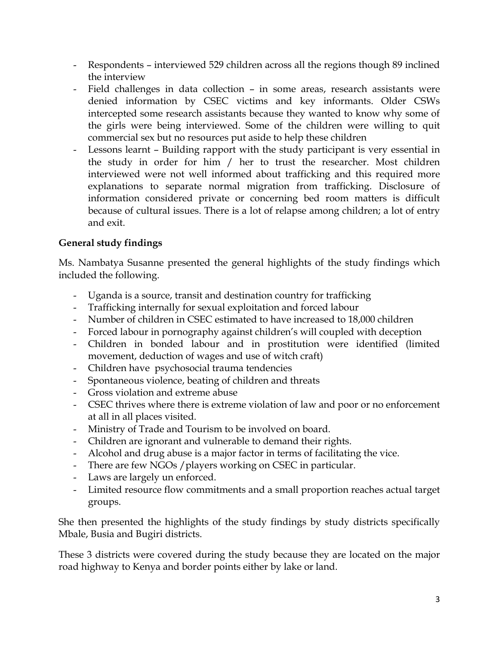- Respondents interviewed 529 children across all the regions though 89 inclined the interview
- Field challenges in data collection in some areas, research assistants were denied information by CSEC victims and key informants. Older CSWs intercepted some research assistants because they wanted to know why some of the girls were being interviewed. Some of the children were willing to quit commercial sex but no resources put aside to help these children
- Lessons learnt Building rapport with the study participant is very essential in the study in order for him / her to trust the researcher. Most children interviewed were not well informed about trafficking and this required more explanations to separate normal migration from trafficking. Disclosure of information considered private or concerning bed room matters is difficult because of cultural issues. There is a lot of relapse among children; a lot of entry and exit.

# **General study findings**

Ms. Nambatya Susanne presented the general highlights of the study findings which included the following.

- Uganda is a source, transit and destination country for trafficking
- Trafficking internally for sexual exploitation and forced labour
- Number of children in CSEC estimated to have increased to 18,000 children
- Forced labour in pornography against children's will coupled with deception
- Children in bonded labour and in prostitution were identified (limited movement, deduction of wages and use of witch craft)
- Children have psychosocial trauma tendencies
- Spontaneous violence, beating of children and threats
- Gross violation and extreme abuse
- CSEC thrives where there is extreme violation of law and poor or no enforcement at all in all places visited.
- Ministry of Trade and Tourism to be involved on board.
- Children are ignorant and vulnerable to demand their rights.
- Alcohol and drug abuse is a major factor in terms of facilitating the vice.
- There are few NGOs / players working on CSEC in particular.
- Laws are largely un enforced.
- Limited resource flow commitments and a small proportion reaches actual target groups.

She then presented the highlights of the study findings by study districts specifically Mbale, Busia and Bugiri districts.

These 3 districts were covered during the study because they are located on the major road highway to Kenya and border points either by lake or land.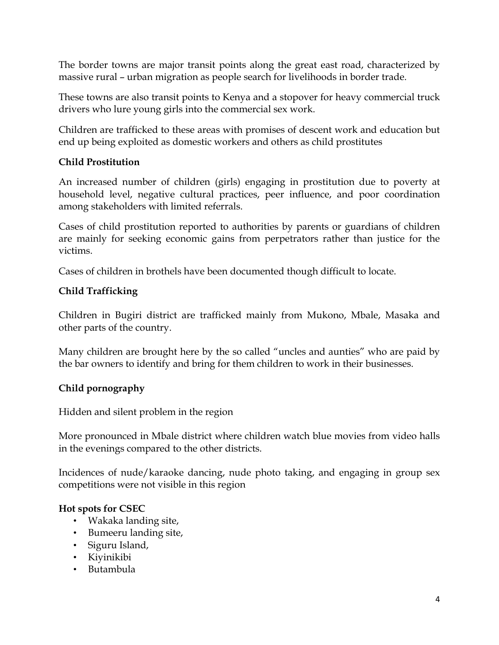The border towns are major transit points along the great east road, characterized by massive rural – urban migration as people search for livelihoods in border trade.

These towns are also transit points to Kenya and a stopover for heavy commercial truck drivers who lure young girls into the commercial sex work.

Children are trafficked to these areas with promises of descent work and education but end up being exploited as domestic workers and others as child prostitutes

### **Child Prostitution**

An increased number of children (girls) engaging in prostitution due to poverty at household level, negative cultural practices, peer influence, and poor coordination among stakeholders with limited referrals.

Cases of child prostitution reported to authorities by parents or guardians of children are mainly for seeking economic gains from perpetrators rather than justice for the victims.

Cases of children in brothels have been documented though difficult to locate.

# **Child Trafficking**

Children in Bugiri district are trafficked mainly from Mukono, Mbale, Masaka and other parts of the country.

Many children are brought here by the so called "uncles and aunties" who are paid by the bar owners to identify and bring for them children to work in their businesses.

# **Child pornography**

Hidden and silent problem in the region

More pronounced in Mbale district where children watch blue movies from video halls in the evenings compared to the other districts.

Incidences of nude/karaoke dancing, nude photo taking, and engaging in group sex competitions were not visible in this region

# **Hot spots for CSEC**

- Wakaka landing site,
- Bumeeru landing site,
- Siguru Island,
- Kiyinikibi
- Butambula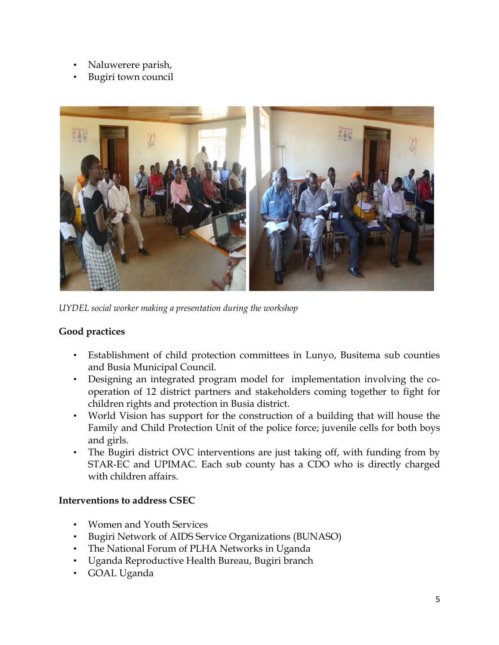- Naluwerere parish,
- Bugiri town council



*UYDEL social worker making a presentation during the workshop*

# **Good practices**

- Establishment of child protection committees in Lunyo, Busitema sub counties and Busia Municipal Council.
- Designing an integrated program model for implementation involving the cooperation of 12 district partners and stakeholders coming together to fight for children rights and protection in Busia district.
- World Vision has support for the construction of a building that will house the Family and Child Protection Unit of the police force; juvenile cells for both boys and girls.
- The Bugiri district OVC interventions are just taking off, with funding from by STAR-EC and UPIMAC. Each sub county has a CDO who is directly charged with children affairs.

#### **Interventions to address CSEC**

- Women and Youth Services
- Bugiri Network of AIDS Service Organizations (BUNASO)
- The National Forum of PLHA Networks in Uganda
- Uganda Reproductive Health Bureau, Bugiri branch
- GOAL Uganda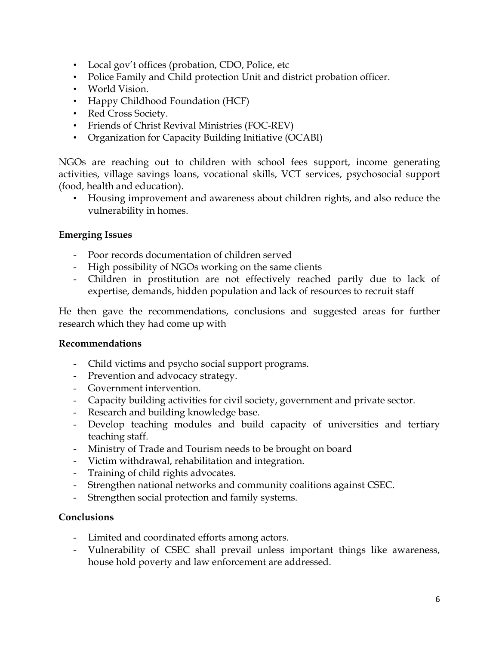- Local gov't offices (probation, CDO, Police, etc
- Police Family and Child protection Unit and district probation officer.
- World Vision.
- Happy Childhood Foundation (HCF)
- Red Cross Society.
- Friends of Christ Revival Ministries (FOC-REV)
- Organization for Capacity Building Initiative (OCABI)

NGOs are reaching out to children with school fees support, income generating activities, village savings loans, vocational skills, VCT services, psychosocial support (food, health and education).

• Housing improvement and awareness about children rights, and also reduce the vulnerability in homes.

#### **Emerging Issues**

- Poor records documentation of children served
- High possibility of NGOs working on the same clients
- Children in prostitution are not effectively reached partly due to lack of expertise, demands, hidden population and lack of resources to recruit staff

He then gave the recommendations, conclusions and suggested areas for further research which they had come up with

#### **Recommendations**

- Child victims and psycho social support programs.
- Prevention and advocacy strategy.
- Government intervention.
- Capacity building activities for civil society, government and private sector.
- Research and building knowledge base.
- Develop teaching modules and build capacity of universities and tertiary teaching staff.
- Ministry of Trade and Tourism needs to be brought on board
- Victim withdrawal, rehabilitation and integration.
- Training of child rights advocates.
- Strengthen national networks and community coalitions against CSEC.
- Strengthen social protection and family systems.

#### **Conclusions**

- Limited and coordinated efforts among actors.
- Vulnerability of CSEC shall prevail unless important things like awareness, house hold poverty and law enforcement are addressed.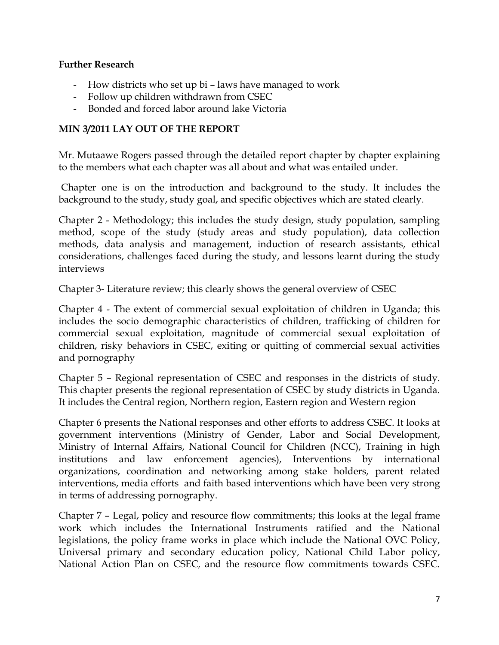#### **Further Research**

- How districts who set up bi laws have managed to work
- Follow up children withdrawn from CSEC
- Bonded and forced labor around lake Victoria

#### **MIN 3/2011 LAY OUT OF THE REPORT**

Mr. Mutaawe Rogers passed through the detailed report chapter by chapter explaining to the members what each chapter was all about and what was entailed under.

Chapter one is on the introduction and background to the study. It includes the background to the study, study goal, and specific objectives which are stated clearly.

Chapter 2 - Methodology; this includes the study design, study population, sampling method, scope of the study (study areas and study population), data collection methods, data analysis and management, induction of research assistants, ethical considerations, challenges faced during the study, and lessons learnt during the study interviews

Chapter 3- Literature review; this clearly shows the general overview of CSEC

Chapter 4 - The extent of commercial sexual exploitation of children in Uganda; this includes the socio demographic characteristics of children, trafficking of children for commercial sexual exploitation, magnitude of commercial sexual exploitation of children, risky behaviors in CSEC, exiting or quitting of commercial sexual activities and pornography

Chapter 5 – Regional representation of CSEC and responses in the districts of study. This chapter presents the regional representation of CSEC by study districts in Uganda. It includes the Central region, Northern region, Eastern region and Western region

Chapter 6 presents the National responses and other efforts to address CSEC. It looks at government interventions (Ministry of Gender, Labor and Social Development, Ministry of Internal Affairs, National Council for Children (NCC), Training in high institutions and law enforcement agencies), Interventions by international organizations, coordination and networking among stake holders, parent related interventions, media efforts and faith based interventions which have been very strong in terms of addressing pornography.

Chapter 7 – Legal, policy and resource flow commitments; this looks at the legal frame work which includes the International Instruments ratified and the National legislations, the policy frame works in place which include the National OVC Policy, Universal primary and secondary education policy, National Child Labor policy, National Action Plan on CSEC*,* and the resource flow commitments towards CSEC.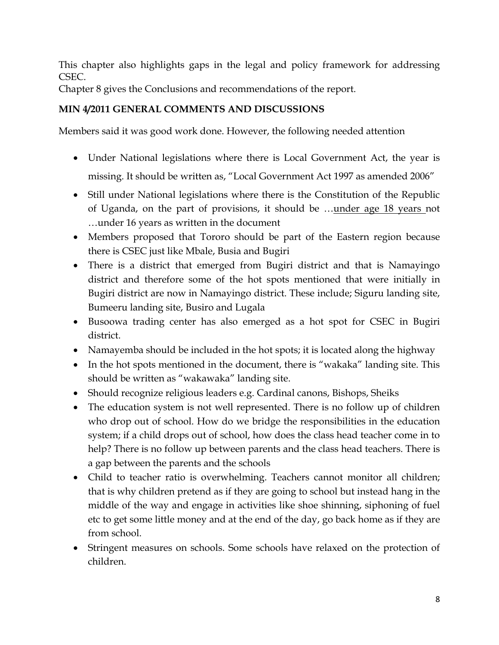This chapter also highlights gaps in the legal and policy framework for addressing CSEC.

Chapter 8 gives the Conclusions and recommendations of the report.

# **MIN 4/2011 GENERAL COMMENTS AND DISCUSSIONS**

Members said it was good work done. However, the following needed attention

- Under National legislations where there is Local Government Act, the year is missing. It should be written as, "Local Government Act 1997 as amended 2006"
- Still under National legislations where there is the Constitution of the Republic of Uganda, on the part of provisions, it should be …under age 18 years not …under 16 years as written in the document
- Members proposed that Tororo should be part of the Eastern region because there is CSEC just like Mbale, Busia and Bugiri
- There is a district that emerged from Bugiri district and that is Namayingo district and therefore some of the hot spots mentioned that were initially in Bugiri district are now in Namayingo district. These include; Siguru landing site, Bumeeru landing site, Busiro and Lugala
- Busoowa trading center has also emerged as a hot spot for CSEC in Bugiri district.
- Namayemba should be included in the hot spots; it is located along the highway
- In the hot spots mentioned in the document, there is "wakaka" landing site. This should be written as "wakawaka" landing site.
- Should recognize religious leaders e.g. Cardinal canons, Bishops, Sheiks
- The education system is not well represented. There is no follow up of children who drop out of school. How do we bridge the responsibilities in the education system; if a child drops out of school, how does the class head teacher come in to help? There is no follow up between parents and the class head teachers. There is a gap between the parents and the schools
- Child to teacher ratio is overwhelming. Teachers cannot monitor all children; that is why children pretend as if they are going to school but instead hang in the middle of the way and engage in activities like shoe shinning, siphoning of fuel etc to get some little money and at the end of the day, go back home as if they are from school.
- Stringent measures on schools. Some schools have relaxed on the protection of children.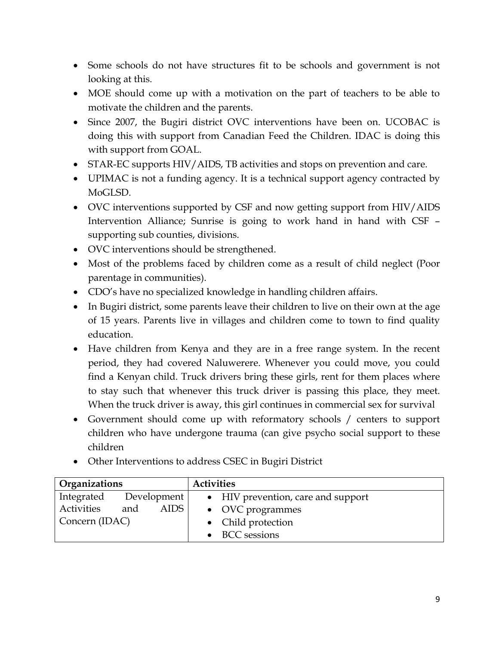- Some schools do not have structures fit to be schools and government is not looking at this.
- MOE should come up with a motivation on the part of teachers to be able to motivate the children and the parents.
- Since 2007, the Bugiri district OVC interventions have been on. UCOBAC is doing this with support from Canadian Feed the Children. IDAC is doing this with support from GOAL.
- STAR-EC supports HIV/AIDS, TB activities and stops on prevention and care.
- UPIMAC is not a funding agency. It is a technical support agency contracted by MoGLSD.
- OVC interventions supported by CSF and now getting support from HIV/AIDS Intervention Alliance; Sunrise is going to work hand in hand with CSF – supporting sub counties, divisions.
- OVC interventions should be strengthened.
- Most of the problems faced by children come as a result of child neglect (Poor parentage in communities).
- CDO's have no specialized knowledge in handling children affairs.
- In Bugiri district, some parents leave their children to live on their own at the age of 15 years. Parents live in villages and children come to town to find quality education.
- Have children from Kenya and they are in a free range system. In the recent period, they had covered Naluwerere. Whenever you could move, you could find a Kenyan child. Truck drivers bring these girls, rent for them places where to stay such that whenever this truck driver is passing this place, they meet. When the truck driver is away, this girl continues in commercial sex for survival
- Government should come up with reformatory schools / centers to support children who have undergone trauma (can give psycho social support to these children
- Other Interventions to address CSEC in Bugiri District

| <b>Organizations</b>        | <b>Activities</b>                  |
|-----------------------------|------------------------------------|
| Development<br>Integrated   | • HIV prevention, care and support |
| Activities<br>AIDS  <br>and | • OVC programmes                   |
| Concern (IDAC)              | • Child protection                 |
|                             | • BCC sessions                     |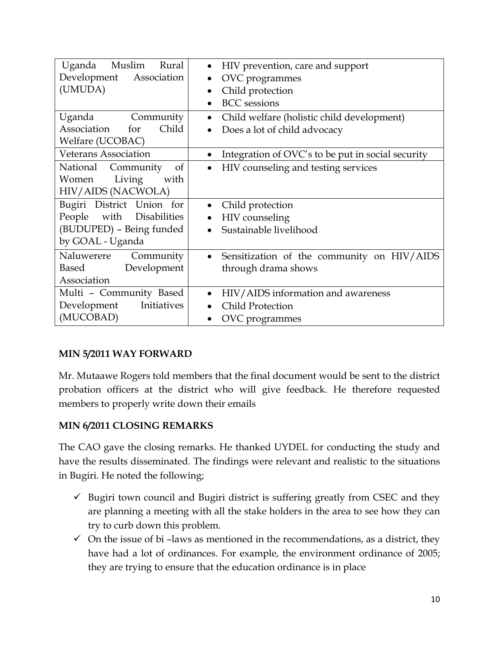| Uganda<br>Muslim<br>Rural<br>Development Association<br>(UMUDA)                                          | HIV prevention, care and support<br>$\bullet$<br>OVC programmes<br>$\bullet$<br>Child protection<br>$\bullet$<br><b>BCC</b> sessions |
|----------------------------------------------------------------------------------------------------------|--------------------------------------------------------------------------------------------------------------------------------------|
| Uganda Community<br>Association<br>Child<br>for<br>Welfare (UCOBAC)                                      | Child welfare (holistic child development)<br>$\bullet$<br>Does a lot of child advocacy                                              |
| <b>Veterans Association</b>                                                                              | Integration of OVC's to be put in social security<br>$\bullet$                                                                       |
| National Community<br><sub>of</sub><br>Women Living<br>with<br>HIV/AIDS (NACWOLA)                        | HIV counseling and testing services<br>$\bullet$                                                                                     |
| Bugiri District Union for<br>with Disabilities<br>People<br>(BUDUPED) - Being funded<br>by GOAL - Uganda | Child protection<br>HIV counseling<br>$\bullet$<br>Sustainable livelihood                                                            |
| Naluwerere<br>Community<br>Based<br>Development<br>Association                                           | Sensitization of the community on HIV/AIDS<br>$\bullet$<br>through drama shows                                                       |
| Multi - Community Based<br>Initiatives<br>Development<br>(MUCOBAD)                                       | HIV/AIDS information and awareness<br>$\bullet$<br><b>Child Protection</b><br>OVC programmes                                         |

# **MIN 5/2011 WAY FORWARD**

Mr. Mutaawe Rogers told members that the final document would be sent to the district probation officers at the district who will give feedback. He therefore requested members to properly write down their emails

#### **MIN 6/2011 CLOSING REMARKS**

The CAO gave the closing remarks. He thanked UYDEL for conducting the study and have the results disseminated. The findings were relevant and realistic to the situations in Bugiri. He noted the following;

- $\checkmark$  Bugiri town council and Bugiri district is suffering greatly from CSEC and they are planning a meeting with all the stake holders in the area to see how they can try to curb down this problem.
- $\checkmark$  On the issue of bi-laws as mentioned in the recommendations, as a district, they have had a lot of ordinances. For example, the environment ordinance of 2005; they are trying to ensure that the education ordinance is in place